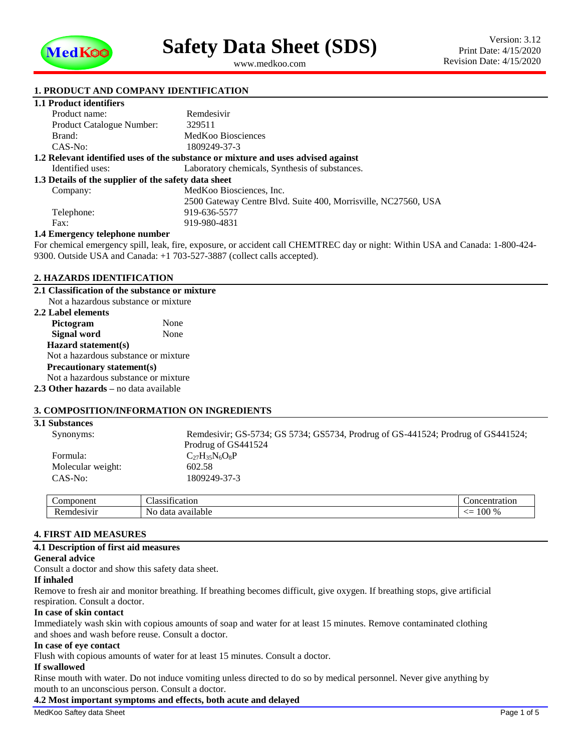

<span id="page-0-1"></span><span id="page-0-0"></span>www.medkoo.com

### **1. PRODUCT AND COMPANY IDENTIFICATION**

## **1.1 Product identifiers**

| Product name:                                                                     | Remdesivir                                                     |  |  |  |
|-----------------------------------------------------------------------------------|----------------------------------------------------------------|--|--|--|
| <b>Product Catalogue Number:</b>                                                  | 329511                                                         |  |  |  |
| Brand:                                                                            | MedKoo Biosciences                                             |  |  |  |
| $CAS-No:$                                                                         | 1809249-37-3                                                   |  |  |  |
| 1.2 Relevant identified uses of the substance or mixture and uses advised against |                                                                |  |  |  |
| Identified uses:                                                                  | Laboratory chemicals, Synthesis of substances.                 |  |  |  |
| 1.3 Details of the supplier of the safety data sheet                              |                                                                |  |  |  |
| Company:                                                                          | MedKoo Biosciences, Inc.                                       |  |  |  |
|                                                                                   | 2500 Gateway Centre Blyd. Suite 400, Morrisville, NC27560, USA |  |  |  |
| Telephone:                                                                        | 919-636-5577                                                   |  |  |  |
| Fax:                                                                              | 919-980-4831                                                   |  |  |  |
| 1.4 Emergency telephone number                                                    |                                                                |  |  |  |
|                                                                                   |                                                                |  |  |  |

For chemical emergency spill, leak, fire, exposure, or accident call CHEMTREC day or night: Within USA and Canada: 1-800-424- 9300. Outside USA and Canada: +1 703-527-3887 (collect calls accepted).

#### **2. HAZARDS IDENTIFICATION**

#### **2.1 Classification of the substance or mixture** Not a hazardous substance or mixture

| <b>2.2 Label elements</b>                    |      |  |  |
|----------------------------------------------|------|--|--|
| Pictogram                                    | None |  |  |
| <b>Signal word</b>                           | None |  |  |
| Hazard statement(s)                          |      |  |  |
| Not a hazardous substance or mixture         |      |  |  |
| <b>Precautionary statement(s)</b>            |      |  |  |
| Not a hazardous substance or mixture         |      |  |  |
| <b>2.3 Other hazards</b> – no data available |      |  |  |

#### **3. COMPOSITION/INFORMATION ON INGREDIENTS**

# **3.1 Substances** Synonyms: Remdesivir; GS-5734; GS 5734; GS5734, Prodrug of GS-441524; Prodrug of GS441524; Prodrug of GS441524 Formula:  $C_{27}H_{35}N_6O_8P$ <br>Molecular weight:  $602.58$ Molecular weight: CAS-No: [1809249-37-3](#page-0-0)

| :omnonen<br>vonem         | $\sim$<br>~·<br>tion<br>یہ م د<br>$\alpha$<br>ssн і са<br>ла | tration<br>ാസം            |
|---------------------------|--------------------------------------------------------------|---------------------------|
| A A B B B A B<br>н<br>. . | available<br>data<br>Nn                                      | 100<br>$^{\Omega}$<br>-70 |

# **4. FIRST AID MEASURES**

### **4.1 Description of first aid measures**

#### **General advice**

Consult a doctor and show this safety data sheet.

#### **If inhaled**

Remove to fresh air and monitor breathing. If breathing becomes difficult, give oxygen. If breathing stops, give artificial respiration. Consult a doctor.

#### **In case of skin contact**

Immediately wash skin with copious amounts of soap and water for at least 15 minutes. Remove contaminated clothing and shoes and wash before reuse. Consult a doctor.

#### **In case of eye contact**

Flush with copious amounts of water for at least 15 minutes. Consult a doctor.

### **If swallowed**

Rinse mouth with water. Do not induce vomiting unless directed to do so by medical personnel. Never give anything by mouth to an unconscious person. Consult a doctor.

#### **4.2 Most important symptoms and effects, both acute and delayed**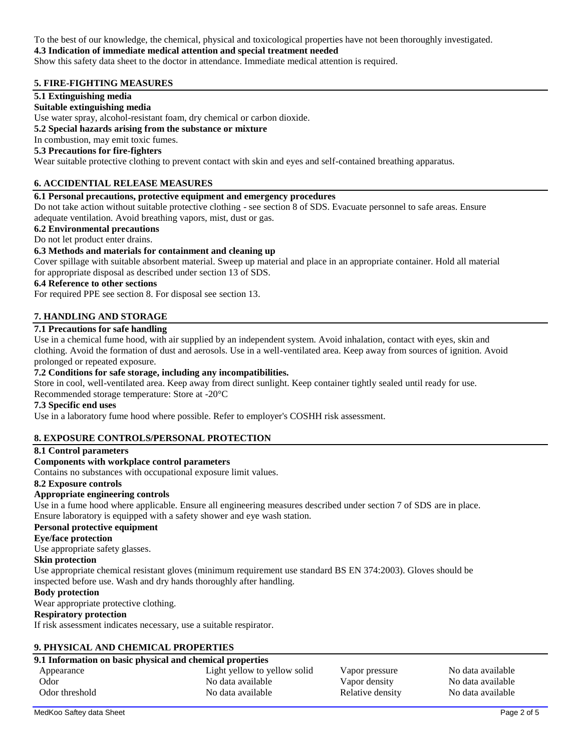To the best of our knowledge, the chemical, physical and toxicological properties have not been thoroughly investigated.

### **4.3 Indication of immediate medical attention and special treatment needed**

Show this safety data sheet to the doctor in attendance. Immediate medical attention is required.

## **5. FIRE-FIGHTING MEASURES**

### **5.1 Extinguishing media**

### **Suitable extinguishing media**

Use water spray, alcohol-resistant foam, dry chemical or carbon dioxide.

### **5.2 Special hazards arising from the substance or mixture**

## In combustion, may emit toxic fumes.

# **5.3 Precautions for fire-fighters**

Wear suitable protective clothing to prevent contact with skin and eyes and self-contained breathing apparatus.

## **6. ACCIDENTIAL RELEASE MEASURES**

### **6.1 Personal precautions, protective equipment and emergency procedures**

Do not take action without suitable protective clothing - see section 8 of SDS. Evacuate personnel to safe areas. Ensure adequate ventilation. Avoid breathing vapors, mist, dust or gas.

### **6.2 Environmental precautions**

### Do not let product enter drains.

### **6.3 Methods and materials for containment and cleaning up**

Cover spillage with suitable absorbent material. Sweep up material and place in an appropriate container. Hold all material for appropriate disposal as described under section 13 of SDS.

### **6.4 Reference to other sections**

For required PPE see section 8. For disposal see section 13.

### **7. HANDLING AND STORAGE**

## **7.1 Precautions for safe handling**

Use in a chemical fume hood, with air supplied by an independent system. Avoid inhalation, contact with eyes, skin and clothing. Avoid the formation of dust and aerosols. Use in a well-ventilated area. Keep away from sources of ignition. Avoid prolonged or repeated exposure.

### **7.2 Conditions for safe storage, including any incompatibilities.**

Store in cool, well-ventilated area. Keep away from direct sunlight. Keep container tightly sealed until ready for use.

Recommended storage temperature: Store at -20°C

### **7.3 Specific end uses**

Use in a laboratory fume hood where possible. Refer to employer's COSHH risk assessment.

### **8. EXPOSURE CONTROLS/PERSONAL PROTECTION**

#### **8.1 Control parameters**

#### **Components with workplace control parameters**

Contains no substances with occupational exposure limit values.

#### **8.2 Exposure controls**

### **Appropriate engineering controls**

Use in a fume hood where applicable. Ensure all engineering measures described under section 7 of SDS are in place. Ensure laboratory is equipped with a safety shower and eye wash station.

#### **Personal protective equipment**

### **Eye/face protection**

Use appropriate safety glasses.

#### **Skin protection**

Use appropriate chemical resistant gloves (minimum requirement use standard BS EN 374:2003). Gloves should be inspected before use. Wash and dry hands thoroughly after handling.

#### **Body protection**

Wear appropriate protective clothing.

### **Respiratory protection**

If risk assessment indicates necessary, use a suitable respirator.

### **9. PHYSICAL AND CHEMICAL PROPERTIES**

# **9.1 Information on basic physical and chemical properties**

| 9.1 miloi mation on basic physical and chemical properties |                              |                  |                   |  |  |
|------------------------------------------------------------|------------------------------|------------------|-------------------|--|--|
| Appearance                                                 | Light yellow to yellow solid | Vapor pressure   | No data available |  |  |
| Odor                                                       | No data available            | Vapor density    | No data available |  |  |
| Odor threshold                                             | No data available            | Relative density | No data available |  |  |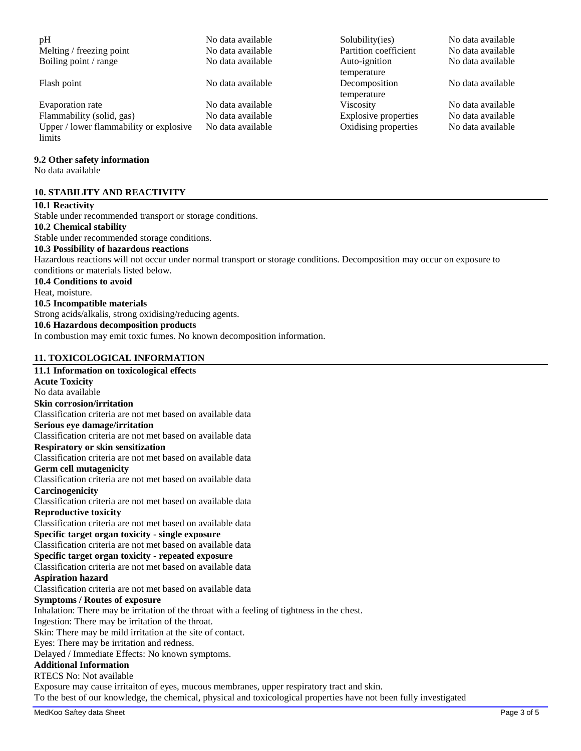| pH                                                | No data available | Solubility(ies)              | No data available |
|---------------------------------------------------|-------------------|------------------------------|-------------------|
| Melting / freezing point                          | No data available | Partition coefficient        | No data available |
| Boiling point / range                             | No data available | Auto-ignition<br>temperature | No data available |
| Flash point                                       | No data available | Decomposition<br>temperature | No data available |
| Evaporation rate                                  | No data available | Viscosity                    | No data available |
| Flammability (solid, gas)                         | No data available | Explosive properties         | No data available |
| Upper / lower flammability or explosive<br>limits | No data available | Oxidising properties         | No data available |
| 9.2 Other safety information<br>No data available |                   |                              |                   |
| <b>10. STABILITY AND REACTIVITY</b>               |                   |                              |                   |
| $\mathbf{A}$                                      |                   |                              |                   |

# **10.1 Reactivity** Stable under recommended transport or storage conditions. **10.2 Chemical stability**

Stable under recommended storage conditions. **10.3 Possibility of hazardous reactions**

Hazardous reactions will not occur under normal transport or storage conditions. Decomposition may occur on exposure to conditions or materials listed below.

# **10.4 Conditions to avoid**

Heat, moisture.

### **10.5 Incompatible materials**

Strong acids/alkalis, strong oxidising/reducing agents.

### **10.6 Hazardous decomposition products**

In combustion may emit toxic fumes. No known decomposition information.

### **11. TOXICOLOGICAL INFORMATION**

**11.1 Information on toxicological effects Acute Toxicity** No data available **Skin corrosion/irritation** Classification criteria are not met based on available data **Serious eye damage/irritation** Classification criteria are not met based on available data **Respiratory or skin sensitization** Classification criteria are not met based on available data **Germ cell mutagenicity** Classification criteria are not met based on available data **Carcinogenicity** Classification criteria are not met based on available data **Reproductive toxicity** Classification criteria are not met based on available data **Specific target organ toxicity - single exposure** Classification criteria are not met based on available data **Specific target organ toxicity - repeated exposure** Classification criteria are not met based on available data **Aspiration hazard** Classification criteria are not met based on available data **Symptoms / Routes of exposure** Inhalation: There may be irritation of the throat with a feeling of tightness in the chest. Ingestion: There may be irritation of the throat. Skin: There may be mild irritation at the site of contact. Eyes: There may be irritation and redness. Delayed / Immediate Effects: No known symptoms. **Additional Information** RTECS No: Not available Exposure may cause irritaiton of eyes, mucous membranes, upper respiratory tract and skin. To the best of our knowledge, the chemical, physical and toxicological properties have not been fully investigated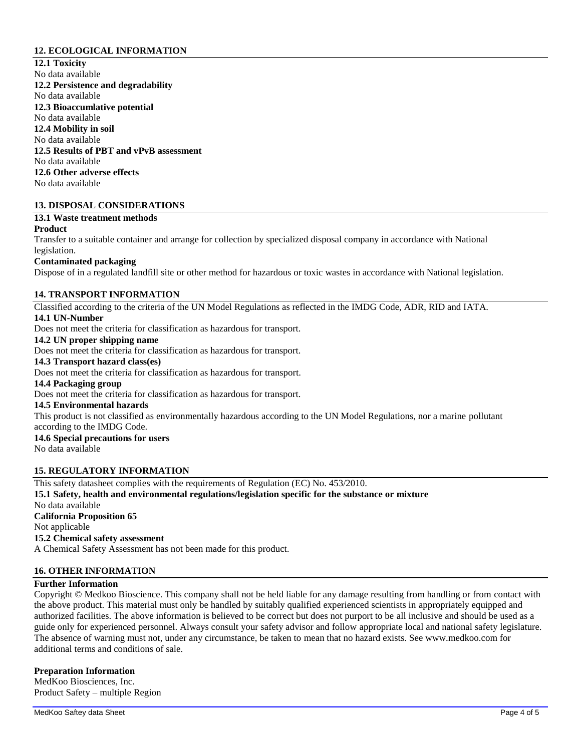### **12. ECOLOGICAL INFORMATION**

**12.1 Toxicity** No data available **12.2 Persistence and degradability** No data available **12.3 Bioaccumlative potential** No data available **12.4 Mobility in soil** No data available **12.5 Results of PBT and vPvB assessment** No data available **12.6 Other adverse effects** No data available

### **13. DISPOSAL CONSIDERATIONS**

- **13.1 Waste treatment methods**
- **Product**

Transfer to a suitable container and arrange for collection by specialized disposal company in accordance with National legislation.

### **Contaminated packaging**

Dispose of in a regulated landfill site or other method for hazardous or toxic wastes in accordance with National legislation.

### **14. TRANSPORT INFORMATION**

Classified according to the criteria of the UN Model Regulations as reflected in the IMDG Code, ADR, RID and IATA. **14.1 UN-Number**

Does not meet the criteria for classification as hazardous for transport.

# **14.2 UN proper shipping name**

Does not meet the criteria for classification as hazardous for transport.

# **14.3 Transport hazard class(es)**

Does not meet the criteria for classification as hazardous for transport.

#### **14.4 Packaging group**

Does not meet the criteria for classification as hazardous for transport.

#### **14.5 Environmental hazards**

This product is not classified as environmentally hazardous according to the UN Model Regulations, nor a marine pollutant according to the IMDG Code.

# **14.6 Special precautions for users**

No data available

### **15. REGULATORY INFORMATION**

This safety datasheet complies with the requirements of Regulation (EC) No. 453/2010. **15.1 Safety, health and environmental regulations/legislation specific for the substance or mixture** No data available **California Proposition 65** Not applicable **15.2 Chemical safety assessment** A Chemical Safety Assessment has not been made for this product.

### **16. OTHER INFORMATION**

#### **Further Information**

Copyright © Medkoo Bioscience. This company shall not be held liable for any damage resulting from handling or from contact with the above product. This material must only be handled by suitably qualified experienced scientists in appropriately equipped and authorized facilities. The above information is believed to be correct but does not purport to be all inclusive and should be used as a guide only for experienced personnel. Always consult your safety advisor and follow appropriate local and national safety legislature. The absence of warning must not, under any circumstance, be taken to mean that no hazard exists. See www.medkoo.com for additional terms and conditions of sale.

#### **Preparation Information**

MedKoo Biosciences, Inc. Product Safety – multiple Region